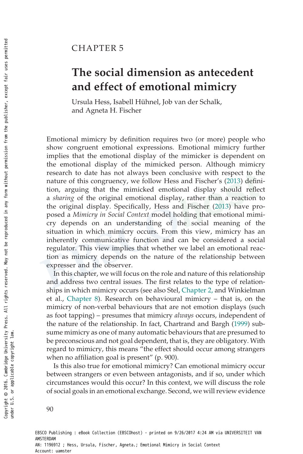# CHAPTER 5

# The social dimension as antecedent and effect of emotional mimicry

Ursula Hess, Isabell Hühnel, Job van der Schalk, and Agneta H. Fischer

Emotional mimicry by definition requires two (or more) people who show congruent emotional expressions. Emotional mimicry further implies that the emotional display of the mimicker is dependent on the emotional display of the mimicked person. Although mimicry research to date has not always been conclusive with respect to the nature of this congruency, we follow Hess and Fischer's (2013) definition, arguing that the mimicked emotional display should reflect a sharing of the original emotional display, rather than a reaction to the original display. Specifically, Hess and Fischer (2013) have proposed a Mimicry in Social Context model holding that emotional mimicry depends on an understanding of the social meaning of the situation in which mimicry occurs. From this view, mimicry has an inherently communicative function and can be considered a social regulator. This view implies that whether we label an emotional reaction as mimicry depends on the nature of the relationship between expresser and the observer.

In this chapter, we will focus on the role and nature of this relationship and address two central issues. The first relates to the type of relationships in which mimicry occurs (see also Stel, Chapter 2, and Winkielman et al., Chapter 8). Research on behavioural mimicry – that is, on the mimicry of non-verbal behaviours that are not emotion displays (such as foot tapping) – presumes that mimicry always occurs, independent of the nature of the relationship. In fact, Chartrand and Bargh (1999) subsume mimicry as one of many automatic behaviours that are presumed to be preconscious and not goal dependent, that is, they are obligatory. With regard to mimicry, this means "the effect should occur among strangers when no affiliation goal is present" (p. 900).

Is this also true for emotional mimicry? Can emotional mimicry occur between strangers or even between antagonists, and if so, under which circumstances would this occur? In this context, we will discuss the role of social goals in an emotional exchange. Second, we will review evidence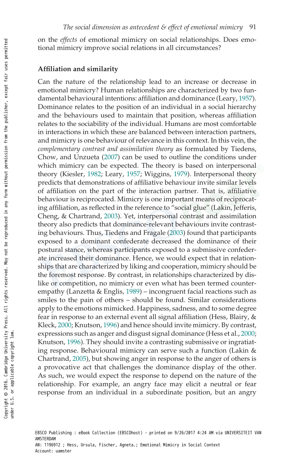on the effects of emotional mimicry on social relationships. Does emotional mimicry improve social relations in all circumstances?

#### Affiliation and similarity

Can the nature of the relationship lead to an increase or decrease in emotional mimicry? Human relationships are characterized by two fundamental behavioural intentions: affiliation and dominance (Leary, 1957). Dominance relates to the position of an individual in a social hierarchy and the behaviours used to maintain that position, whereas affiliation relates to the sociability of the individual. Humans are most comfortable in interactions in which these are balanced between interaction partners, and mimicry is one behaviour of relevance in this context. In this vein, the complementary contrast and assimilation theory as formulated by Tiedens, Chow, and Unzueta (2007) can be used to outline the conditions under which mimicry can be expected. The theory is based on interpersonal theory (Kiesler, 1982; Leary, 1957; Wiggins, 1979). Interpersonal theory predicts that demonstrations of affiliative behaviour invite similar levels of affiliation on the part of the interaction partner. That is, affiliative behaviour is reciprocated. Mimicry is one important means of reciprocating affiliation, as reflected in the reference to "social glue" (Lakin, Jefferis, Cheng, & Chartrand, 2003). Yet, interpersonal contrast and assimilation theory also predicts that dominance-relevant behaviours invite contrasting behaviours. Thus, Tiedens and Fragale (2003) found that participants exposed to a dominant confederate decreased the dominance of their postural stance, whereas participants exposed to a submissive confederate increased their dominance. Hence, we would expect that in relationships that are characterized by liking and cooperation, mimicry should be the foremost response. By contrast, in relationships characterized by dislike or competition, no mimicry or even what has been termed counterempathy (Lanzetta & Englis, 1989) – incongruent facial reactions such as smiles to the pain of others – should be found. Similar considerations apply to the emotions mimicked. Happiness, sadness, and to some degree fear in response to an external event all signal affiliation (Hess, Blairy, & Kleck, 2000; Knutson, 1996) and hence should invite mimicry. By contrast, expressions such as anger and disgust signal dominance (Hess et al., 2000; Knutson, 1996). They should invite a contrasting submissive or ingratiating response. Behavioural mimicry can serve such a function (Lakin & Chartrand, 2005), but showing anger in response to the anger of others is a provocative act that challenges the dominance display of the other. As such, we would expect the response to depend on the nature of the relationship. For example, an angry face may elicit a neutral or fear response from an individual in a subordinate position, but an angry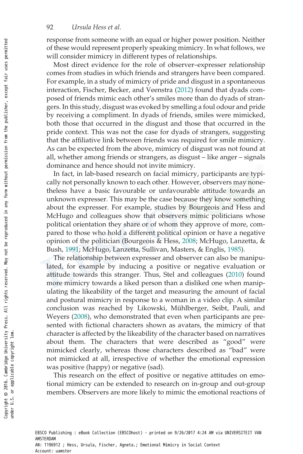response from someone with an equal or higher power position. Neither of these would represent properly speaking mimicry. In what follows, we will consider mimicry in different types of relationships.

Most direct evidence for the role of observer–expresser relationship comes from studies in which friends and strangers have been compared. For example, in a study of mimicry of pride and disgust in a spontaneous interaction, Fischer, Becker, and Veenstra (2012) found that dyads composed of friends mimic each other's smiles more than do dyads of strangers. In this study, disgust was evoked by smelling a foul odour and pride by receiving a compliment. In dyads of friends, smiles were mimicked, both those that occurred in the disgust and those that occurred in the pride context. This was not the case for dyads of strangers, suggesting that the affiliative link between friends was required for smile mimicry. As can be expected from the above, mimicry of disgust was not found at all, whether among friends or strangers, as disgust – like anger – signals dominance and hence should not invite mimicry.

In fact, in lab-based research on facial mimicry, participants are typically not personally known to each other. However, observers may nonetheless have a basic favourable or unfavourable attitude towards an unknown expresser. This may be the case because they know something about the expresser. For example, studies by Bourgeois and Hess and McHugo and colleagues show that observers mimic politicians whose political orientation they share or of whom they approve of more, compared to those who hold a different political opinion or have a negative opinion of the politician (Bourgeois & Hess, 2008; McHugo, Lanzetta, & Bush, 1991; McHugo, Lanzetta, Sullivan, Masters, & Englis, 1985).

The relationship between expresser and observer can also be manipulated, for example by inducing a positive or negative evaluation or attitude towards this stranger. Thus, Stel and colleagues (2010) found more mimicry towards a liked person than a disliked one when manipulating the likeability of the target and measuring the amount of facial and postural mimicry in response to a woman in a video clip. A similar conclusion was reached by Likowski, Mühlberger, Seibt, Pauli, and Weyers (2008), who demonstrated that even when participants are presented with fictional characters shown as avatars, the mimicry of that character is affected by the likeability of the character based on narratives about them. The characters that were described as "good" were mimicked clearly, whereas those characters described as "bad" were not mimicked at all, irrespective of whether the emotional expression was positive (happy) or negative (sad).

This research on the effect of positive or negative attitudes on emotional mimicry can be extended to research on in-group and out-group members. Observers are more likely to mimic the emotional reactions of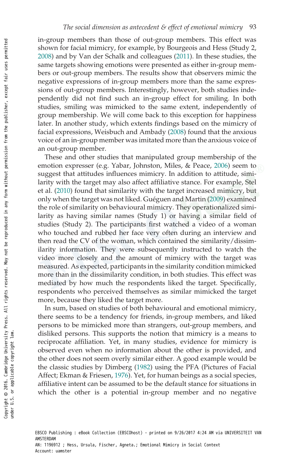in-group members than those of out-group members. This effect was shown for facial mimicry, for example, by Bourgeois and Hess (Study 2, 2008) and by Van der Schalk and colleagues (2011). In these studies, the same targets showing emotions were presented as either in-group members or out-group members. The results show that observers mimic the negative expressions of in-group members more than the same expressions of out-group members. Interestingly, however, both studies independently did not find such an in-group effect for smiling. In both studies, smiling was mimicked to the same extent, independently of group membership. We will come back to this exception for happiness later. In another study, which extents findings based on the mimicry of facial expressions, Weisbuch and Ambady (2008) found that the anxious voice of an in-group member was imitated more than the anxious voice of an out-group member.

These and other studies that manipulated group membership of the emotion expresser (e.g. Yabar, Johnston, Miles, & Peace, 2006) seem to suggest that attitudes influences mimicry. In addition to attitude, similarity with the target may also affect affiliative stance. For example, Stel et al. (2010) found that similarity with the target increased mimicry, but only when the target was not liked. Guéguen and Martin (2009) examined the role of similarity on behavioural mimicry. They operationalized similarity as having similar names (Study 1) or having a similar field of studies (Study 2). The participants first watched a video of a woman who touched and rubbed her face very often during an interview and then read the CV of the woman, which contained the similarity/dissimilarity information. They were subsequently instructed to watch the video more closely and the amount of mimicry with the target was measured. As expected, participants in the similarity condition mimicked more than in the dissimilarity condition, in both studies. This effect was mediated by how much the respondents liked the target. Specifically, respondents who perceived themselves as similar mimicked the target more, because they liked the target more.

In sum, based on studies of both behavioural and emotional mimicry, there seems to be a tendency for friends, in-group members, and liked persons to be mimicked more than strangers, out-group members, and disliked persons. This supports the notion that mimicry is a means to reciprocate affiliation. Yet, in many studies, evidence for mimicry is observed even when no information about the other is provided, and the other does not seem overly similar either. A good example would be the classic studies by Dimberg (1982) using the PFA (Pictures of Facial Affect; Ekman & Friesen, 1976). Yet, for human beings as a social species, affiliative intent can be assumed to be the default stance for situations in which the other is a potential in-group member and no negative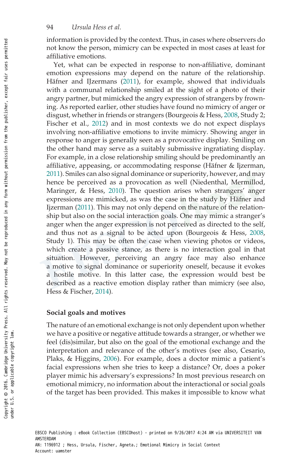information is provided by the context. Thus, in cases where observers do not know the person, mimicry can be expected in most cases at least for affiliative emotions.

Yet, what can be expected in response to non-affiliative, dominant emotion expressions may depend on the nature of the relationship. Häfner and IJzermans (2011), for example, showed that individuals with a communal relationship smiled at the sight of a photo of their angry partner, but mimicked the angry expression of strangers by frowning. As reported earlier, other studies have found no mimicry of anger or disgust, whether in friends or strangers (Bourgeois & Hess, 2008, Study 2; Fischer et al., 2012) and in most contexts we do not expect displays involving non-affiliative emotions to invite mimicry. Showing anger in response to anger is generally seen as a provocative display. Smiling on the other hand may serve as a suitably submissive ingratiating display. For example, in a close relationship smiling should be predominantly an affiliative, appeasing, or accommodating response (Häfner & Ijzerman, 2011). Smiles can also signal dominance or superiority, however, and may hence be perceived as a provocation as well (Niedenthal, Mermillod, Maringer, & Hess, 2010). The question arises when strangers' anger expressions are mimicked, as was the case in the study by Häfner and Ijzerman (2011). This may not only depend on the nature of the relationship but also on the social interaction goals. One may mimic a stranger's anger when the anger expression is not perceived as directed to the self, and thus not as a signal to be acted upon (Bourgeois & Hess, 2008, Study 1). This may be often the case when viewing photos or videos, which create a passive stance, as there is no interaction goal in that situation. However, perceiving an angry face may also enhance a motive to signal dominance or superiority oneself, because it evokes a hostile motive. In this latter case, the expression would best be described as a reactive emotion display rather than mimicry (see also, Hess & Fischer, 2014).

## Social goals and motives

The nature of an emotional exchange is not only dependent upon whether we have a positive or negative attitude towards a stranger, or whether we feel (dis)similar, but also on the goal of the emotional exchange and the interpretation and relevance of the other's motives (see also, Cesario, Plaks, & Higgins, 2006). For example, does a doctor mimic a patient's facial expressions when she tries to keep a distance? Or, does a poker player mimic his adversary's expressions? In most previous research on emotional mimicry, no information about the interactional or social goals of the target has been provided. This makes it impossible to know what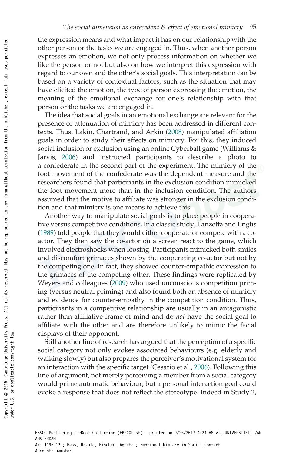the expression means and what impact it has on our relationship with the other person or the tasks we are engaged in. Thus, when another person expresses an emotion, we not only process information on whether we like the person or not but also on how we interpret this expression with regard to our own and the other's social goals. This interpretation can be based on a variety of contextual factors, such as the situation that may have elicited the emotion, the type of person expressing the emotion, the meaning of the emotional exchange for one's relationship with that person or the tasks we are engaged in.

The idea that social goals in an emotional exchange are relevant for the presence or attenuation of mimicry has been addressed in different contexts. Thus, Lakin, Chartrand, and Arkin (2008) manipulated affiliation goals in order to study their effects on mimicry. For this, they induced social inclusion or exclusion using an online Cyberball game (Williams & Jarvis, 2006) and instructed participants to describe a photo to a confederate in the second part of the experiment. The mimicry of the foot movement of the confederate was the dependent measure and the researchers found that participants in the exclusion condition mimicked the foot movement more than in the inclusion condition. The authors assumed that the motive to affiliate was stronger in the exclusion condition and that mimicry is one means to achieve this.

Another way to manipulate social goals is to place people in cooperative versus competitive conditions. In a classic study, Lanzetta and Englis (1989) told people that they would either cooperate or compete with a coactor. They then saw the co-actor on a screen react to the game, which involved electroshocks when loosing. Participants mimicked both smiles and discomfort grimaces shown by the cooperating co-actor but not by the competing one. In fact, they showed counter-empathic expression to the grimaces of the competing other. These findings were replicated by Weyers and colleagues (2009) who used unconscious competition priming (versus neutral priming) and also found both an absence of mimicry and evidence for counter-empathy in the competition condition. Thus, participants in a competitive relationship are usually in an antagonistic rather than affiliative frame of mind and do not have the social goal to affiliate with the other and are therefore unlikely to mimic the facial displays of their opponent.

Still another line of research has argued that the perception of a specific social category not only evokes associated behaviours (e.g. elderly and walking slowly) but also prepares the perceiver's motivational system for an interaction with the specific target (Cesario et al., 2006). Following this line of argument, not merely perceiving a member from a social category would prime automatic behaviour, but a personal interaction goal could evoke a response that does not reflect the stereotype. Indeed in Study 2,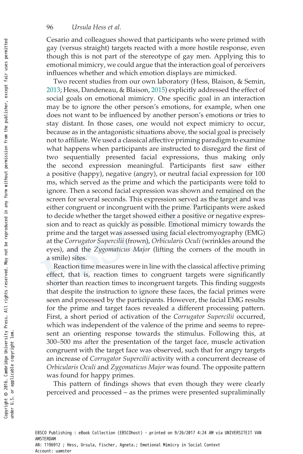#### 96 Ursula Hess et al.

Cesario and colleagues showed that participants who were primed with gay (versus straight) targets reacted with a more hostile response, even though this is not part of the stereotype of gay men. Applying this to emotional mimicry, we could argue that the interaction goal of perceivers influences whether and which emotion displays are mimicked.

Two recent studies from our own laboratory (Hess, Blaison, & Semin, 2013; Hess, Dandeneau, & Blaison, 2015) explicitly addressed the effect of social goals on emotional mimicry. One specific goal in an interaction may be to ignore the other person's emotions, for example, when one does not want to be influenced by another person's emotions or tries to stay distant. In those cases, one would not expect mimicry to occur, because as in the antagonistic situations above, the social goal is precisely not to affiliate. We used a classical affective priming paradigm to examine what happens when participants are instructed to disregard the first of two sequentially presented facial expressions, thus making only the second expression meaningful. Participants first saw either a positive (happy), negative (angry), or neutral facial expression for 100 ms, which served as the prime and which the participants were told to ignore. Then a second facial expression was shown and remained on the screen for several seconds. This expression served as the target and was either congruent or incongruent with the prime. Participants were asked to decide whether the target showed either a positive or negative expression and to react as quickly as possible. Emotional mimicry towards the prime and the target was assessed using facial electromyography (EMG) at the Corrugator Supercilii (frown), Orbicularis Oculi (wrinkles around the eyes), and the Zygomaticus Major (lifting the corners of the mouth in a smile) sites.

Reaction time measures were in line with the classical affective priming effect, that is, reaction times to congruent targets were significantly shorter than reaction times to incongruent targets. This finding suggests that despite the instruction to ignore these faces, the facial primes were seen and processed by the participants. However, the facial EMG results for the prime and target faces revealed a different processing pattern. First, a short period of activation of the Corrugator Supercilii occurred, which was independent of the valence of the prime and seems to represent an orienting response towards the stimulus. Following this, at 300–500 ms after the presentation of the target face, muscle activation congruent with the target face was observed, such that for angry targets an increase of Corrugator Supercilii activity with a concurrent decrease of Orbicularis Oculi and Zygomaticus Major was found. The opposite pattern was found for happy primes.

This pattern of findings shows that even though they were clearly perceived and processed – as the primes were presented supraliminally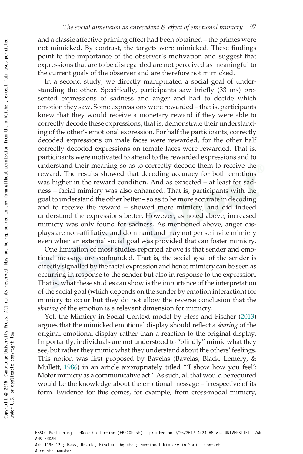and a classic affective priming effect had been obtained – the primes were not mimicked. By contrast, the targets were mimicked. These findings point to the importance of the observer's motivation and suggest that expressions that are to be disregarded are not perceived as meaningful to the current goals of the observer and are therefore not mimicked.

In a second study, we directly manipulated a social goal of understanding the other. Specifically, participants saw briefly (33 ms) presented expressions of sadness and anger and had to decide which emotion they saw. Some expressions were rewarded – that is, participants knew that they would receive a monetary reward if they were able to correctly decode these expressions, that is, demonstrate their understanding of the other's emotional expression. For half the participants, correctly decoded expressions on male faces were rewarded, for the other half correctly decoded expressions on female faces were rewarded. That is, participants were motivated to attend to the rewarded expressions and to understand their meaning so as to correctly decode them to receive the reward. The results showed that decoding accuracy for both emotions was higher in the reward condition. And as expected – at least for sadness – facial mimicry was also enhanced. That is, participants with the goal to understand the other better – so as to be more accurate in decoding and to receive the reward – showed more mimicry, and did indeed understand the expressions better. However, as noted above, increased mimicry was only found for sadness. As mentioned above, anger displays are non-affiliative and dominant and may not per se invite mimicry even when an external social goal was provided that can foster mimicry.

One limitation of most studies reported above is that sender and emotional message are confounded. That is, the social goal of the sender is directly signalled by the facial expression and hence mimicry can be seen as occurring in response to the sender but also in response to the expression. That is, what these studies can show is the importance of the interpretation of the social goal (which depends on the sender by emotion interaction) for mimicry to occur but they do not allow the reverse conclusion that the sharing of the emotion is a relevant dimension for mimicry.

Yet, the Mimicry in Social Context model by Hess and Fischer (2013) argues that the mimicked emotional display should reflect a sharing of the original emotional display rather than a reaction to the original display. Importantly, individuals are not understood to "blindly" mimic what they see, but rather they mimic what they understand about the others' feelings. This notion was first proposed by Bavelas (Bavelas, Black, Lemery, & Mullett, 1986) in an article appropriately titled "'I show how you feel': Motor mimicry as a communicative act." As such, all that would be required would be the knowledge about the emotional message – irrespective of its form. Evidence for this comes, for example, from cross-modal mimicry,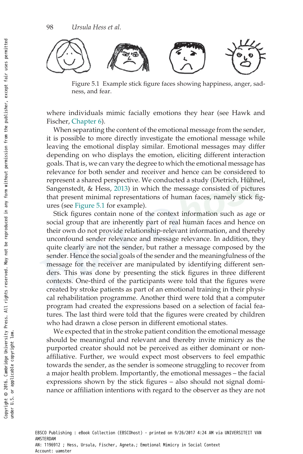

Figure 5.1 Example stick figure faces showing happiness, anger, sadness, and fear.

where individuals mimic facially emotions they hear (see Hawk and Fischer, Chapter 6).

When separating the content of the emotional message from the sender, it is possible to more directly investigate the emotional message while leaving the emotional display similar. Emotional messages may differ depending on who displays the emotion, eliciting different interaction goals. That is, we can vary the degree to which the emotional message has relevance for both sender and receiver and hence can be considered to represent a shared perspective. We conducted a study (Dietrich, Hühnel, Sangenstedt, & Hess, 2013) in which the message consisted of pictures that present minimal representations of human faces, namely stick figures (see Figure 5.1 for example).

Stick figures contain none of the context information such as age or social group that are inherently part of real human faces and hence on their own do not provide relationship-relevant information, and thereby unconfound sender relevance and message relevance. In addition, they quite clearly are not the sender, but rather a message composed by the sender. Hence the social goals of the sender and the meaningfulness of the message for the receiver are manipulated by identifying different senders. This was done by presenting the stick figures in three different contexts. One-third of the participants were told that the figures were created by stroke patients as part of an emotional training in their physical rehabilitation programme. Another third were told that a computer program had created the expressions based on a selection of facial features. The last third were told that the figures were created by children who had drawn a close person in different emotional states.

We expected that in the stroke patient condition the emotional message should be meaningful and relevant and thereby invite mimicry as the purported creator should not be perceived as either dominant or nonaffiliative. Further, we would expect most observers to feel empathic towards the sender, as the sender is someone struggling to recover from a major health problem. Importantly, the emotional messages – the facial expressions shown by the stick figures – also should not signal dominance or affiliation intentions with regard to the observer as they are not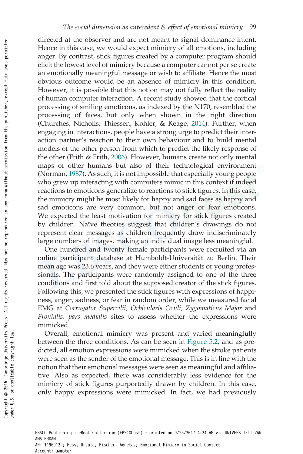directed at the observer and are not meant to signal dominance intent. Hence in this case, we would expect mimicry of all emotions, including anger. By contrast, stick figures created by a computer program should elicit the lowest level of mimicry because a computer cannot per se create an emotionally meaningful message or wish to affiliate. Hence the most obvious outcome would be an absence of mimicry in this condition. However, it is possible that this notion may not fully reflect the reality of human computer interaction. A recent study showed that the cortical processing of smiling emoticons, as indexed by the N170, resembled the processing of faces, but only when shown in the right direction (Churches, Nicholls, Thiessen, Kohler, & Keage, 2014). Further, when engaging in interactions, people have a strong urge to predict their interaction partner's reaction to their own behaviour and to build mental models of the other person from which to predict the likely response of the other (Frith & Frith, 2006). However, humans create not only mental maps of other humans but also of their technological environment (Norman, 1987). As such, it is not impossible that especially young people who grew up interacting with computers mimic in this context if indeed reactions to emoticons generalize to reactions to stick figures. In this case, the mimicry might be most likely for happy and sad faces as happy and sad emoticons are very common, but not anger or fear emoticons. We expected the least motivation for mimicry for stick figures created by children. Naïve theories suggest that children's drawings do not represent clear messages as children frequently draw indiscriminately large numbers of images, making an individual image less meaningful.

One hundred and twenty female participants were recruited via an online participant database at Humboldt-Universität zu Berlin. Their mean age was 23.6 years, and they were either students or young professionals. The participants were randomly assigned to one of the three conditions and first told about the supposed creator of the stick figures. Following this, we presented the stick figures with expressions of happiness, anger, sadness, or fear in random order, while we measured facial EMG at Corrugator Supercilii, Orbicularis Oculi, Zygomaticus Major and Frontalis, pars medialis sites to assess whether the expressions were mimicked.

Overall, emotional mimicry was present and varied meaningfully between the three conditions. As can be seen in Figure 5.2, and as predicted, all emotion expressions were mimicked when the stroke patients were seen as the sender of the emotional message. This is in line with the notion that their emotional messages were seen as meaningful and affiliative. Also as expected, there was considerably less evidence for the mimicry of stick figures purportedly drawn by children. In this case, only happy expressions were mimicked. In fact, we had previously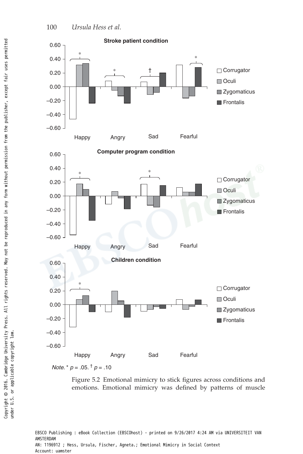



Figure 5.2 Emotional mimicry to stick figures across conditions and emotions. Emotional mimicry was defined by patterns of muscle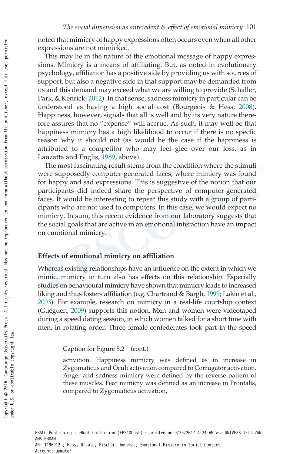noted that mimicry of happy expressions often occurs even when all other expressions are not mimicked.

This may lie in the nature of the emotional message of happy expressions. Mimicry is a means of affiliating. But, as noted in evolutionary psychology, affiliation has a positive side by providing us with sources of support, but also a negative side in that support may be demanded from us and this demand may exceed what we are willing to provide (Schaller, Park, & Kenrick, 2012). In that sense, sadness mimicry in particular can be understood as having a high social cost (Bourgeois & Hess, 2008). Happiness, however, signals that all is well and by its very nature therefore assures that no "expense" will accrue. As such, it may well be that happiness mimicry has a high likelihood to occur if there is no specfic reason why it should not (as would be the case if the happiness is attributed to a competitor who may feel glee over our loss, as in Lanzatta and Englis, 1989, above).

The most fascinating result stems from the condition where the stimuli were supposedly computer-generated faces, where mimicry was found for happy and sad expressions. This is suggestive of the notion that our participants did indeed share the perspective of computer-generated faces. It would be interesting to repeat this study with a group of participants who are not used to computers. In this case, we would expect no mimicry. In sum, this recent evidence from our laboratory suggests that the social goals that are active in an emotional interaction have an impact on emotional mimicry.

#### Effects of emotional mimicry on affiliation

Whereas existing relationships have an influence on the extent in which we mimic, mimicry in turn also has effects on this relationship. Especially studies on behavioural mimicry have shown that mimicry leads to increased liking and thus fosters affiliation (e.g. Chartrand & Bargh, 1999; Lakin et al., 2003). For example, research on mimicry in a real-life courtship context (Guéguen, 2009) supports this notion. Men and women were videotaped during a speed dating session, in which women talked for a short time with men, in rotating order. Three female confederates took part in the speed

Caption for Figure 5.2 (cont.)

activition. Happiness mimicry was defined as in increase in Zygomaticus and Oculi activation compared to Corrugator activation. Anger and sadness mimicry were defined by the reverse pattern of these muscles. Fear mimicry was defined as an increase in Frontalis, compared to Zygomaticus activation.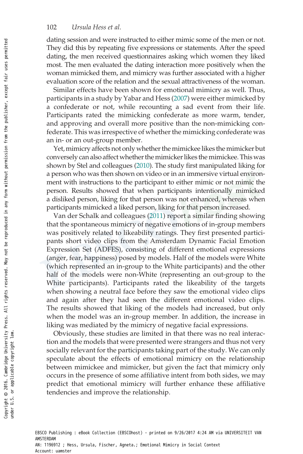#### 102 Ursula Hess et al.

dating session and were instructed to either mimic some of the men or not. They did this by repeating five expressions or statements. After the speed dating, the men received questionnaires asking which women they liked most. The men evaluated the dating interaction more positively when the woman mimicked them, and mimicry was further associated with a higher evaluation score of the relation and the sexual attractiveness of the woman.

Similar effects have been shown for emotional mimicry as well. Thus, participants in a study by Yabar and Hess (2007) were either mimicked by a confederate or not, while recounting a sad event from their life. Participants rated the mimicking confederate as more warm, tender, and approving and overall more positive than the non-mimicking confederate. This was irrespective of whether the mimicking confederate was an in- or an out-group member.

Yet, mimicry affects not only whether the mimickee likes the mimicker but conversely can also affect whether the mimicker likes the mimickee. This was shown by Stel and colleagues (2010). The study first manipulated liking for a person who was then shown on video or in an immersive virtual environment with instructions to the participant to either mimic or not mimic the person. Results showed that when participants intentionally mimicked a disliked person, liking for that person was not enhanced, whereas when participants mimicked a liked person, liking for that person increased.

Van der Schalk and colleagues (2011) report a similar finding showing that the spontaneous mimicry of negative emotions of in-group members was positively related to likeability ratings. They first presented participants short video clips from the Amsterdam Dynamic Facial Emotion Expression Set (ADFES), consisting of different emotional expressions (anger, fear, happiness) posed by models. Half of the models were White (which represented an in-group to the White participants) and the other half of the models were non-White (representing an out-group to the White participants). Participants rated the likeability of the targets when showing a neutral face before they saw the emotional video clips and again after they had seen the different emotional video clips. The results showed that liking of the models had increased, but only when the model was an in-group member. In addition, the increase in liking was mediated by the mimicry of negative facial expressions.

Obviously, these studies are limited in that there was no real interaction and the models that were presented were strangers and thus not very socially relevant for the participants taking part of the study. We can only speculate about the effects of emotional mimicry on the relationship between mimickee and mimicker, but given the fact that mimicry only occurs in the presence of some affiliative intent from both sides, we may predict that emotional mimicry will further enhance these affiliative tendencies and improve the relationship.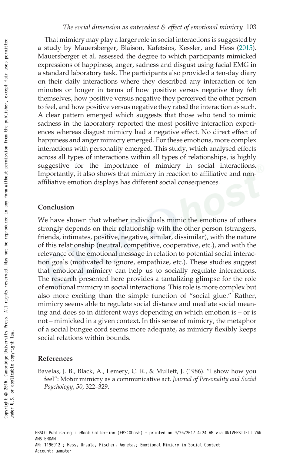That mimicry may play a larger role in social interactions is suggested by a study by Mauersberger, Blaison, Kafetsios, Kessler, and Hess (2015). Mauersberger et al. assessed the degree to which participants mimicked expressions of happiness, anger, sadness and disgust using facial EMG in a standard laboratory task. The participants also provided a ten-day diary on their daily interactions where they described any interaction of ten minutes or longer in terms of how positive versus negative they felt themselves, how positive versus negative they perceived the other person to feel, and how positive versus negative they rated the interaction as such. A clear pattern emerged which suggests that those who tend to mimic sadness in the laboratory reported the most positive interaction experiences whereas disgust mimicry had a negative effect. No direct effect of happiness and anger mimicry emerged. For these emotions, more complex interactions with personality emerged. This study, which analysed effects across all types of interactions within all types of relationships, is highly suggestive for the importance of mimicry in social interactions. Importantly, it also shows that mimicry in reaction to affiliative and nonaffiliative emotion displays has different social consequences.

# Conclusion

We have shown that whether individuals mimic the emotions of others strongly depends on their relationship with the other person (strangers, friends, intimates, positive, negative, similar, dissimilar), with the nature of this relationship (neutral, competitive, cooperative, etc.), and with the relevance of the emotional message in relation to potential social interaction goals (motivated to ignore, empathize, etc.). These studies suggest that emotional mimicry can help us to socially regulate interactions. The research presented here provides a tantalizing glimpse for the role of emotional mimicry in social interactions. This role is more complex but also more exciting than the simple function of "social glue." Rather, mimicry seems able to regulate social distance and mediate social meaning and does so in different ways depending on which emotion is – or is not – mimicked in a given context. In this sense of mimicry, the metaphor of a social bungee cord seems more adequate, as mimicry flexibly keeps social relations within bounds.

## References

Bavelas, J. B., Black, A., Lemery, C. R., & Mullett, J. (1986). "I show how you feel": Motor mimicry as a communicative act. Journal of Personality and Social Psychology, 50, 322–329.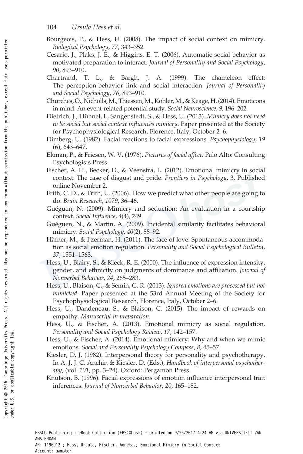- 104 Ursula Hess et al.
- Bourgeois, P., & Hess, U. (2008). The impact of social context on mimicry. Biological Psychology, 77, 343–352.
- Cesario, J., Plaks, J. E., & Higgins, E. T. (2006). Automatic social behavior as motivated preparation to interact. Journal of Personality and Social Psychology, 90, 893–910.
- Chartrand, T. L., & Bargh, J. A. (1999). The chameleon effect: The perception-behavior link and social interaction. Journal of Personality and Social Psychology, 76, 893–910.
- Churches, O., Nicholls,M., Thiessen,M., Kohler,M., & Keage, H. (2014). Emoticons in mind: An event-related potential study. Social Neuroscience, 9, 196–202.
- Dietrich, J., Hühnel, I., Sangenstedt, S., & Hess, U. (2013). Mimicry does not need to be social but social context influences mimicry. Paper presented at the Society for Psychophysiological Research, Florence, Italy, October 2–6.
- Dimberg, U. (1982). Facial reactions to facial expressions. Psychophysiology, 19 (6), 643–647.
- Ekman, P., & Friesen, W. V. (1976). Pictures of facial affect. Palo Alto: Consulting Psychologists Press.
- Fischer, A. H., Becker, D., & Veenstra, L. (2012). Emotional mimicry in social context: The case of disgust and pride. Frontiers in Psychology, 3, Published online November 2.
- Frith, C. D., & Frith, U. (2006). How we predict what other people are going to do. Brain Research, 1079, 36–46.
- Guéguen, N. (2009). Mimicry and seduction: An evaluation in a courtship context. Social Influence, 4(4), 249.
- Guéguen, N., & Martin, A. (2009). Incidental similarity facilitates behavioral mimicry. Social Psychology, 40(2), 88-92.
- Häfner, M., & Ijzerman, H. (2011). The face of love: Spontaneous accommodation as social emotion regulation. Personality and Social Psychological Bulletin, 37, 1551–1563.
- Hess, U., Blairy, S., & Kleck, R. E. (2000). The influence of expression intensity, gender, and ethnicity on judgments of dominance and affiliation. Journal of Nonverbal Behavior, 24, 265–283.
- Hess, U., Blaison, C., & Semin, G. R. (2013). Ignored emotions are processed but not mimicked. Paper presented at the 53rd Annual Meeting of the Society for Psychophysiological Research, Florence, Italy, October 2–6.
- Hess, U., Dandeneau, S., & Blaison, C. (2015). The impact of rewards on empathy. Manuscript in preparation.
- Hess, U., & Fischer, A. (2013). Emotional mimicry as social regulation. Personality and Social Psychology Review, 17, 142–157.
- Hess, U., & Fischer, A. (2014). Emotional mimicry: Why and when we mimic emotions. Social and Personality Psychology Compass, 8, 45–57.
- Kiesler, D. J. (1982). Interpersonal theory for personality and psychotherapy. In A. J. J. C. Anchin & Kiesler, D. (Eds.), Handbook of interpersonal psychotherapy, (vol. 101, pp. 3–24). Oxford: Pergamon Press.
- Knutson, B. (1996). Facial expressions of emotion influence interpersonal trait inferences. Journal of Nonverbal Behavior, 20, 165–182.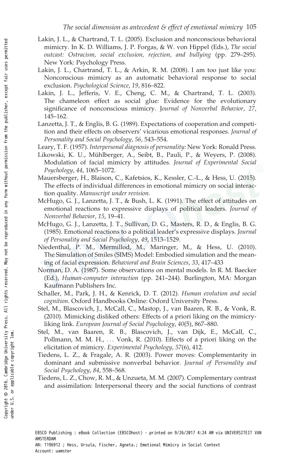- Lakin, J. L., & Chartrand, T. L. (2005). Exclusion and nonconscious behavioral mimicry. In K. D. Williams, J. P. Forgas, & W. von Hippel (Eds.), The social outcast: Ostracism, social exclusion, rejection, and bullying (pp. 279–295). New York: Psychology Press.
- Lakin, J. L., Chartrand, T. L., & Arkin, R. M. (2008). I am too just like you: Nonconscious mimicry as an automatic behavioral response to social exclusion. Psychological Science, 19, 816–822.
- Lakin, J. L., Jefferis, V. E., Cheng, C. M., & Chartrand, T. L. (2003). The chameleon effect as social glue: Evidence for the evolutionary significance of nonconscious mimicry. Journal of Nonverbal Behavior, 27, 145–162.
- Lanzetta, J. T., & Englis, B. G. (1989). Expectations of cooperation and competition and their effects on observers' vicarious emotional responses. Journal of Personality and Social Psychology, 56, 543–554.
- Leary, T. F. (1957). Interpersonal diagnosis of personality: New York: Ronald Press.
- Likowski, K. U., Mühlberger, A., Seibt, B., Pauli, P., & Weyers, P. (2008). Modulation of facial mimicry by attitudes. Journal of Experimental Social Psychology, 44, 1065–1072.
- Mauersberger, H., Blaison, C., Kafetsios, K., Kessler, C.-L., & Hess, U. (2015). The effects of individual differences in emotional mimicry on social interaction quality. Manuscript under revision.
- McHugo, G. J., Lanzetta, J. T., & Bush, L. K. (1991). The effect of attitudes on emotional reactions to expressive displays of political leaders. Journal of Nonverbal Behavior, 15, 19–41.
- McHugo, G. J., Lanzetta, J. T., Sullivan, D. G., Masters, R. D., & Englis, B. G. (1985). Emotional reactions to a political leader's expressive displays. Journal of Personality and Social Psychology, 49, 1513–1529.
- Niedenthal, P. M., Mermillod, M., Maringer, M., & Hess, U. (2010). The Simulation of Smiles (SIMS) Model: Embodied simulation and the meaning of facial expression. Behavioral and Brain Sciences, 33, 417–433
- Norman, D. A. (1987). Some observations on mental models. In R. M. Baecker (Ed.), Human-computer interaction (pp. 241–244). Burlington, MA: Morgan Kaufmann Publishers Inc.
- Schaller, M., Park, J. H., & Kenrick, D. T. (2012). Human evolution and social cognition. Oxford Handbooks Online: Oxford University Press.
- Stel, M., Blascovich, J., McCall, C., Mastop, J., van Baaren, R. B., & Vonk, R. (2010). Mimicking disliked others: Effects of a priori liking on the mimicryliking link. European Journal of Social Psychology, 40(5), 867–880.
- Stel, M., van Baaren, R. B., Blascovich, J., van Dijk, E., McCall, C., Pollmann, M. M. H., ... Vonk, R. (2010). Effects of a priori liking on the elicitation of mimicry. Experimental Psychology, 57(6), 412.
- Tiedens, L. Z., & Fragale, A. R. (2003). Power moves: Complementarity in dominant and submissive nonverbal behavior. Journal of Personality and Social Psychology, 84, 558–568.
- Tiedens, L. Z., Chow, R. M., & Unzueta, M. M. (2007). Complementary contrast and assimilation: Interpersonal theory and the social functions of contrast